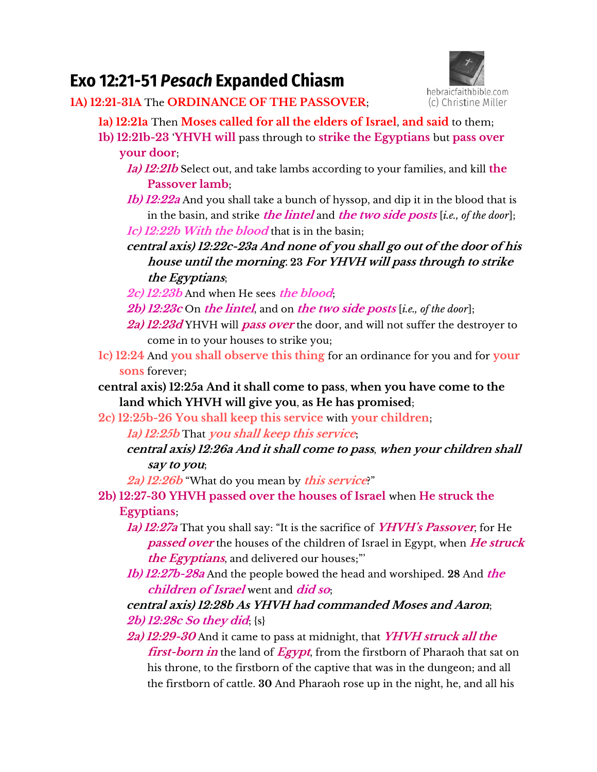## **Exo 12:21-51** *Pesach* **Expanded Chiasm**



**1A) 12:21-31A** The **ORDINANCE OF THE PASSOVER**;

- **1a) 12:21a** Then **Moses called for all the elders of Israel**, **and said** to them;
	- **1b) 12:21b-23** '**YHVH will** pass through to **strike the Egyptians** but **pass over your door**;
		- **1a) 12:21b** Select out, and take lambs according to your families, and kill **the Passover lamb**;
		- **1b) 12:22a** And you shall take a bunch of hyssop, and dip it in the blood that is in the basin, and strike **the lintel** and **the two side posts** [*i.e., of the door*]; **1c) 12:22b With the blood** that is in the basin;
		- **central axis) 12:22c-23a And none of you shall go out of the door of his house until the morning. 23 For YHVH will pass through to strike the Egyptians**;
		- **2c) 12:23b** And when He sees **the blood**;
		- **2b) 12:23c** On **the lintel**, and on **the two side posts** [*i.e., of the door*];
		- **2a) 12:23d** YHVH will **pass over** the door, and will not suffer the destroyer to come in to your houses to strike you;
	- **1c) 12:24** And **you shall observe this thing** for an ordinance for you and for **your sons** forever;
	- **central axis) 12:25a And it shall come to pass**, **when you have come to the land which YHVH will give you**, **as He has promised**;
	- **2c) 12:25b-26 You shall keep this service** with **your children**;

**1a) 12:25b** That **you shall keep this service**;

**central axis) 12:26a And it shall come to pass**, **when your children shall say to you**;

**2a) 12:26b** "What do you mean by **this service**?"

**2b) 12:27-30 YHVH passed over the houses of Israel** when **He struck the Egyptians**;

- **1a) 12:27a** That you shall say: "It is the sacrifice of **YHVH's Passover**, for He **passed over** the houses of the children of Israel in Egypt, when **He struck the Egyptians**, and delivered our houses;"'
- **1b) 12:27b-28a** And the people bowed the head and worshiped. **28** And **the children of Israel** went and **did so**;

## **central axis) 12:28b As YHVH had commanded Moses and Aaron**; **2b) 12:28c So they did**; {s}

**2a) 12:29-30** And it came to pass at midnight, that **YHVH struck all the first-born in** the land of **Egypt**, from the firstborn of Pharaoh that sat on his throne, to the firstborn of the captive that was in the dungeon; and all the firstborn of cattle. **30** And Pharaoh rose up in the night, he, and all his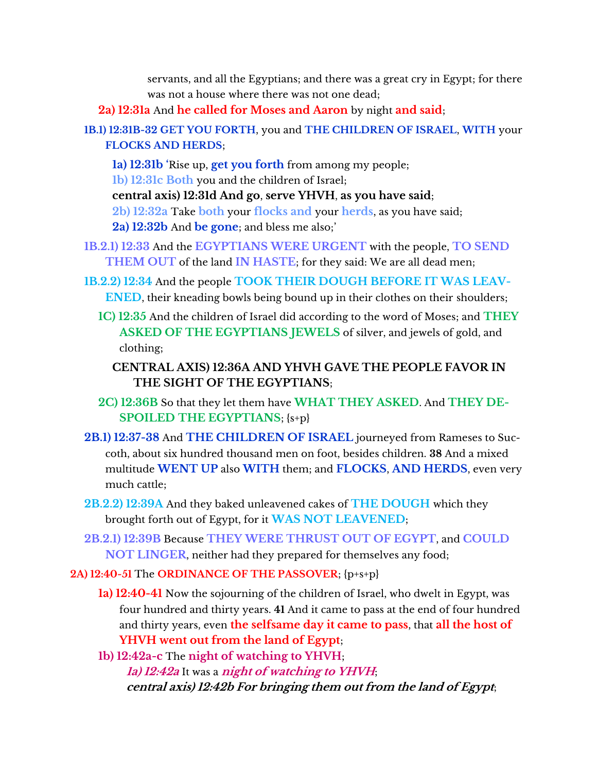servants, and all the Egyptians; and there was a great cry in Egypt; for there was not a house where there was not one dead;

**2a) 12:31a** And **he called for Moses and Aaron** by night **and said**;

**1B.1) 12:31B-32 GET YOU FORTH**, you and **THE CHILDREN OF ISRAEL**, **WITH** your **FLOCKS AND HERDS**;

- **1a) 12:31b '**Rise up, **get you forth** from among my people;
- **1b) 12:31c Both** you and the children of Israel;

**central axis) 12:31d And go**, **serve YHVH**, **as you have said**;

**2b) 12:32a** Take **both** your **flocks and** your **herds**, as you have said;

**2a) 12:32b** And **be gone**; and bless me also;'

- **1B.2.1) 12:33** And the **EGYPTIANS WERE URGENT** with the people, **TO SEND THEM OUT** of the land **IN HASTE**; for they said: We are all dead men;
- **1B.2.2) 12:34** And the people **TOOK THEIR DOUGH BEFORE IT WAS LEAV-ENED**, their kneading bowls being bound up in their clothes on their shoulders;
	- **1C) 12:35** And the children of Israel did according to the word of Moses; and **THEY ASKED OF THE EGYPTIANS JEWELS** of silver, and jewels of gold, and clothing;

## **CENTRAL AXIS) 12:36A AND YHVH GAVE THE PEOPLE FAVOR IN THE SIGHT OF THE EGYPTIANS**;

- **2C) 12:36B** So that they let them have **WHAT THEY ASKED**. And **THEY DE-SPOILED THE EGYPTIANS**; {s+p}
- **2B.1) 12:37-38** And **THE CHILDREN OF ISRAEL** journeyed from Rameses to Succoth, about six hundred thousand men on foot, besides children. **38** And a mixed multitude **WENT UP** also **WITH** them; and **FLOCKS**, **AND HERDS**, even very much cattle;
- **2B.2.2) 12:39A** And they baked unleavened cakes of **THE DOUGH** which they brought forth out of Egypt, for it **WAS NOT LEAVENED**;
- **2B.2.1) 12:39B** Because **THEY WERE THRUST OUT OF EGYPT**, and **COULD NOT LINGER**, neither had they prepared for themselves any food;

**2A) 12:40-51** The **ORDINANCE OF THE PASSOVER**; {p+s+p}

**1a) 12:40-41** Now the sojourning of the children of Israel, who dwelt in Egypt, was four hundred and thirty years. **41** And it came to pass at the end of four hundred and thirty years, even **the selfsame day it came to pass**, that **all the host of YHVH went out from the land of Egypt**;

**1b) 12:42a-c** The **night of watching to YHVH**; **1a) 12:42a** It was a **night of watching to YHVH**; **central axis) 12:42b For bringing them out from the land of Egypt**;